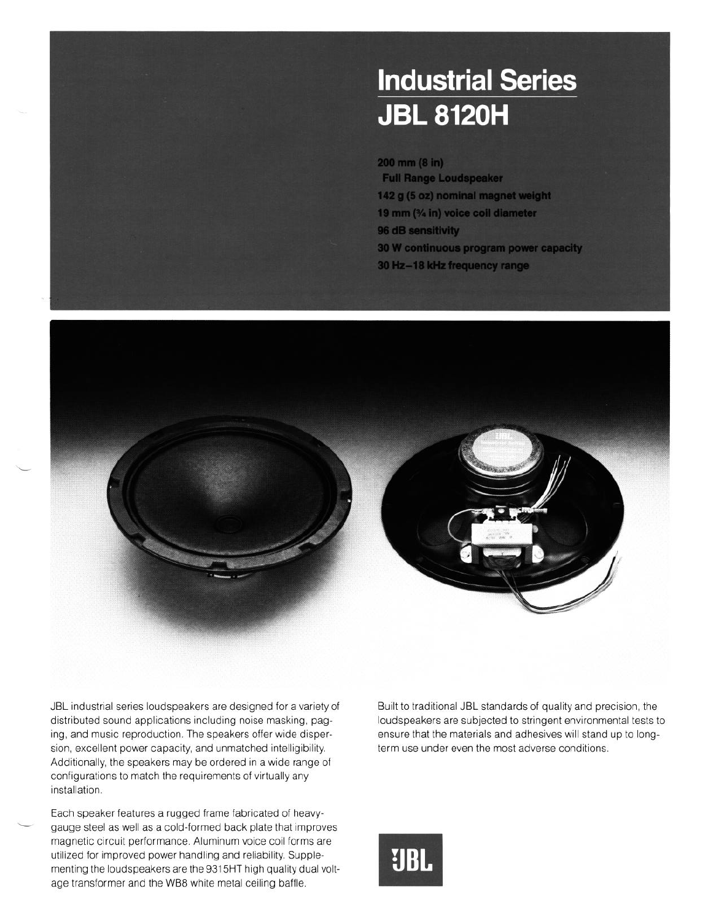## **Industrial Series JBL 8120H**

200 mm (8 in) **Full Range Loudspeaker** 142 g (5 oz) nominal magnet weight 19 mm (% in) voice coil diameter 96 dB sensitivity 30 W continuous program power capacity 30 Hz-18 kHz frequency range



JBL industrial series loudspeakers are designed for a variety of distributed sound applications including noise masking, paging, and music reproduction. The speakers offer wide dispersion, excellent power capacity, and unmatched intelligibility. Additionally, the speakers may be ordered in a wide range of configurations to match the requirements of virtually any installation.

Each speaker features a rugged frame fabricated of heavy gauge steel as well as a cold-formed back plate that improves magnetic circuit performance. Aluminum voice coil forms are utilized for improved power handling and reliability. Supplementing the loudspeakers are the 9315HT high quality dual voltage transformer and the WB8 white metal celling baffle.

Built to traditional JBL standards of quality and precision, the loudspeakers are subjected to stringent environmental tests to ensure that the materials and adhesives will stand up to longterm use under even the most adverse conditions.